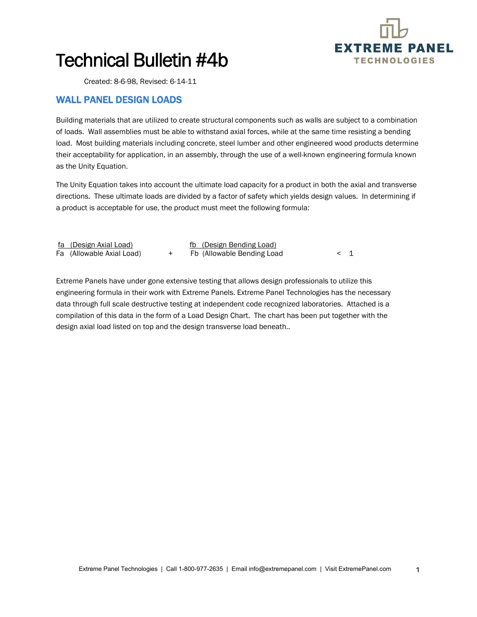

1

## Technical Bulletin #4b

Created: 8-6-98, Revised: 6-14-11

## WALL PANEL DESIGN LOADS

Building materials that are utilized to create structural components such as walls are subject to a combination of loads. Wall assemblies must be able to withstand axial forces, while at the same time resisting a bending load. Most building materials including concrete, steel lumber and other engineered wood products determine their acceptability for application, in an assembly, through the use of a well-known engineering formula known as the Unity Equation.

The Unity Equation takes into account the ultimate load capacity for a product in both the axial and transverse directions. These ultimate loads are divided by a factor of safety which yields design values. In determining if a product is acceptable for use, the product must meet the following formula:

| <u>fa (Design Axial Load)</u> | fb (Design Bending Load)   |  |
|-------------------------------|----------------------------|--|
| Fa (Allowable Axial Load)     | Fb (Allowable Bending Load |  |

Extreme Panels have under gone extensive testing that allows design professionals to utilize this engineering formula in their work with Extreme Panels. Extreme Panel Technologies has the necessary data through full scale destructive testing at independent code recognized laboratories. Attached is a compilation of this data in the form of a Load Design Chart. The chart has been put together with the design axial load listed on top and the design transverse load beneath..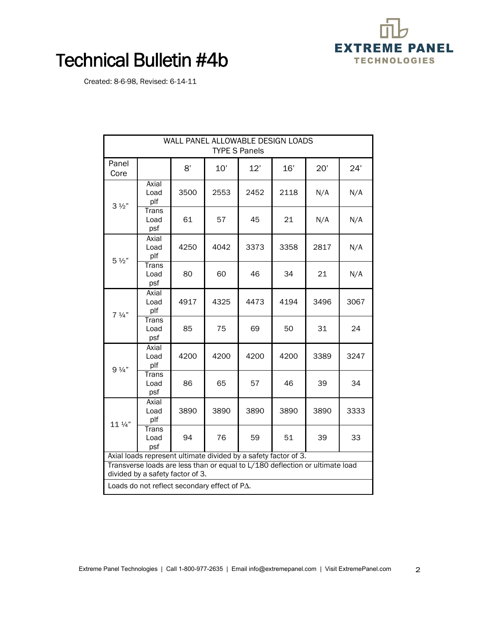

2

## Technical Bulletin #4b

Created: 8-6-98, Revised: 6-14-11

| WALL PANEL ALLOWABLE DESIGN LOADS<br><b>TYPE S Panels</b>                                                        |                             |      |      |      |      |      |      |  |
|------------------------------------------------------------------------------------------------------------------|-----------------------------|------|------|------|------|------|------|--|
| Panel<br>Core                                                                                                    |                             | 8'   | 10'  | 12'  | 16'  | 20'  | 24'  |  |
| $3\frac{1}{2}$ "                                                                                                 | Axial<br>Load<br>plf        | 3500 | 2553 | 2452 | 2118 | N/A  | N/A  |  |
|                                                                                                                  | <b>Trans</b><br>Load<br>psf | 61   | 57   | 45   | 21   | N/A  | N/A  |  |
| $5\frac{1}{2}$                                                                                                   | Axial<br>Load<br>plf        | 4250 | 4042 | 3373 | 3358 | 2817 | N/A  |  |
|                                                                                                                  | <b>Trans</b><br>Load<br>psf | 80   | 60   | 46   | 34   | 21   | N/A  |  |
| $7\frac{1}{4}$                                                                                                   | Axial<br>Load<br>plf        | 4917 | 4325 | 4473 | 4194 | 3496 | 3067 |  |
|                                                                                                                  | <b>Trans</b><br>Load<br>psf | 85   | 75   | 69   | 50   | 31   | 24   |  |
| $9\frac{1}{4}$                                                                                                   | Axial<br>Load<br>plf        | 4200 | 4200 | 4200 | 4200 | 3389 | 3247 |  |
|                                                                                                                  | Trans<br>Load<br>psf        | 86   | 65   | 57   | 46   | 39   | 34   |  |
| 11 1/4"                                                                                                          | Axial<br>Load<br>plf        | 3890 | 3890 | 3890 | 3890 | 3890 | 3333 |  |
|                                                                                                                  | <b>Trans</b><br>Load<br>psf | 94   | 76   | 59   | 51   | 39   | 33   |  |
| Axial loads represent ultimate divided by a safety factor of 3.                                                  |                             |      |      |      |      |      |      |  |
| Transverse loads are less than or equal to L/180 deflection or ultimate load<br>divided by a safety factor of 3. |                             |      |      |      |      |      |      |  |
| Loads do not reflect secondary effect of PA.                                                                     |                             |      |      |      |      |      |      |  |